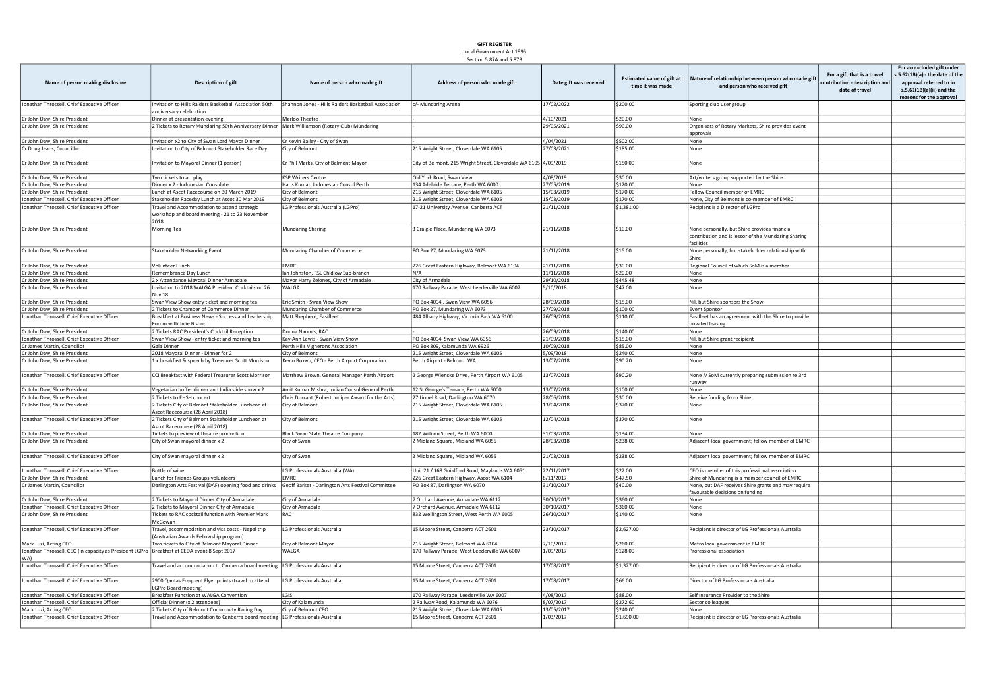## GIFT REGISTER Local Government Act 1995

Section 5.87A and 5.87B

| Name of person making disclosure                                                              | <b>Description of gift</b>                                                                             | Name of person who made gift                         | Address of person who made gift                                  | Date gift was received | <b>Estimated value of gift at</b><br>time it was made | Nature of relationship between person who made gift<br>and person who received gift                                | For a gift that is a travel<br>ontribution - description and<br>date of travel | For an excluded gift under<br>.5.62(1B)(a) - the date of the<br>approval referred to in<br>s.5.62(1B)(a)(ii) and the<br>reasons for the approval |
|-----------------------------------------------------------------------------------------------|--------------------------------------------------------------------------------------------------------|------------------------------------------------------|------------------------------------------------------------------|------------------------|-------------------------------------------------------|--------------------------------------------------------------------------------------------------------------------|--------------------------------------------------------------------------------|--------------------------------------------------------------------------------------------------------------------------------------------------|
| Jonathan Throssell, Chief Executive Officer                                                   | Invitation to Hills Raiders Basketball Association 50th<br>anniversary celebration                     | Shannon Jones - Hills Raiders Basketball Association | c/- Mundaring Arena                                              | 17/02/2022             | \$200.00                                              | Sporting club user group                                                                                           |                                                                                |                                                                                                                                                  |
| Cr John Daw, Shire President                                                                  | Dinner at presentation evening                                                                         | Marloo Theatre                                       |                                                                  | 4/10/2021              | \$20.00                                               | None                                                                                                               |                                                                                |                                                                                                                                                  |
| Cr John Daw, Shire President                                                                  | 2 Tickets to Rotary Mundaring 50th Anniversary Dinner                                                  | Mark Williamson (Rotary Club) Mundaring              |                                                                  | 29/05/2021             | \$90.00                                               |                                                                                                                    |                                                                                |                                                                                                                                                  |
|                                                                                               |                                                                                                        |                                                      |                                                                  |                        |                                                       | Organisers of Rotary Markets, Shire provides event<br>approvals                                                    |                                                                                |                                                                                                                                                  |
| Cr John Daw, Shire President                                                                  | Invitation x2 to City of Swan Lord Mayor Dinner                                                        | Cr Kevin Bailey - City of Swan                       |                                                                  | 4/04/2021              | \$502.00                                              | None                                                                                                               |                                                                                |                                                                                                                                                  |
| Cr Doug Jeans, Councillor                                                                     | Invitation to City of Belmont Stakeholder Race Day                                                     | City of Belmont                                      | 215 Wright Street, Cloverdale WA 6105                            | 27/03/2021             | \$185.00                                              | None                                                                                                               |                                                                                |                                                                                                                                                  |
| Cr John Daw, Shire President                                                                  | Invitation to Mayoral Dinner (1 person)                                                                | Cr Phil Marks, City of Belmont Mayor                 | City of Belmont, 215 Wright Street, Cloverdale WA 6105 4/09/2019 |                        | \$150.00                                              | None                                                                                                               |                                                                                |                                                                                                                                                  |
| Cr John Daw, Shire President                                                                  | Two tickets to art play                                                                                | <b>KSP Writers Centre</b>                            | Old York Road, Swan View                                         | 4/08/2019              | \$30.00                                               | Art/writers group supported by the Shire                                                                           |                                                                                |                                                                                                                                                  |
| Cr John Daw, Shire President                                                                  | Dinner x 2 - Indonesian Consulate                                                                      | Haris Kumar, Indonesian Consul Perth                 | 134 Adelaide Terrace, Perth WA 6000                              | 27/05/2019             | \$120.00                                              | None                                                                                                               |                                                                                |                                                                                                                                                  |
| Cr John Daw, Shire President                                                                  | Lunch at Ascot Racecourse on 30 March 2019                                                             | City of Belmont                                      | 215 Wright Street, Cloverdale WA 6105                            | 15/03/2019             | \$170.00                                              | Fellow Council member of EMRC                                                                                      |                                                                                |                                                                                                                                                  |
| Jonathan Throssell, Chief Executive Officer                                                   | Stakeholder Raceday Lunch at Ascot 30 Mar 2019                                                         | City of Belmont                                      | 215 Wright Street, Cloverdale WA 6105                            | 15/03/2019             | \$170.00                                              | None, City of Belmont is co-member of EMRC                                                                         |                                                                                |                                                                                                                                                  |
| Jonathan Throssell, Chief Executive Officer                                                   | Travel and Accommodation to attend strategic<br>workshop and board meeting - 21 to 23 November<br>2018 | LG Professionals Australia (LGPro)                   | 17-21 University Avenue, Canberra ACT                            | 21/11/2018             | \$1,381.00                                            | Recipient is a Director of LGPro                                                                                   |                                                                                |                                                                                                                                                  |
| Cr John Daw, Shire President                                                                  | Morning Tea                                                                                            | Mundaring Sharing                                    | 3 Craigie Place, Mundaring WA 6073                               | 21/11/2018             | \$10.00                                               | None personally, but Shire provides financial<br>contribution and is lessor of the Mundaring Sharing<br>facilities |                                                                                |                                                                                                                                                  |
| Cr John Daw, Shire President                                                                  | Stakeholder Networking Event                                                                           | Mundaring Chamber of Commerce                        | PO Box 27, Mundaring WA 6073                                     | 21/11/2018             | \$15.00                                               | None personally, but stakeholder relationship with<br>Shire                                                        |                                                                                |                                                                                                                                                  |
| Cr John Daw, Shire President                                                                  | Volunteer Lunch                                                                                        | <b>FMRC</b>                                          | 226 Great Eastern Highway, Belmont WA 6104                       | 21/11/2018             | \$30.00                                               | Regional Council of which SoM is a member                                                                          |                                                                                |                                                                                                                                                  |
| Cr John Daw, Shire President                                                                  | Remembrance Day Lunch                                                                                  | Ian Johnston, RSL Chidlow Sub-branch                 | N/A                                                              | 11/11/2018             | \$20.00                                               | None                                                                                                               |                                                                                |                                                                                                                                                  |
| Cr John Daw, Shire President                                                                  | 2 x Attendance Mayoral Dinner Armadale                                                                 | Mayor Harry Zelones, City of Armadale                | City of Armadale                                                 | 29/10/2018             | \$445.48                                              | None                                                                                                               |                                                                                |                                                                                                                                                  |
| Cr John Daw, Shire President                                                                  | Invitation to 2018 WALGA President Cocktails on 26<br>Nov 18                                           | WALGA                                                | 170 Railway Parade, West Leederville WA 6007                     | 5/10/2018              | \$47.00                                               | None                                                                                                               |                                                                                |                                                                                                                                                  |
| Cr John Daw, Shire President                                                                  | Swan View Show entry ticket and morning tea                                                            | Eric Smith - Swan View Show                          | PO Box 4094, Swan View WA 6056                                   | 28/09/2018             | \$15.00                                               | Nil, but Shire sponsors the Show                                                                                   |                                                                                |                                                                                                                                                  |
| Cr John Daw, Shire President                                                                  | 2 Tickets to Chamber of Commerce Dinner                                                                | Mundaring Chamber of Commerce                        | PO Box 27, Mundaring WA 6073                                     | 27/09/2018             | \$100.00                                              | <b>Event Sponsor</b>                                                                                               |                                                                                |                                                                                                                                                  |
| Jonathan Throssell, Chief Executive Officer                                                   | Breakfast at Business News - Success and Leadership                                                    | Matt Shepherd, Easifleet                             | 484 Albany Highway, Victoria Park WA 6100                        | 26/09/2018             | \$110.00                                              | Easifleet has an agreement with the Shire to provide                                                               |                                                                                |                                                                                                                                                  |
|                                                                                               | Forum with Julie Bishop                                                                                |                                                      |                                                                  |                        |                                                       | novated leasing                                                                                                    |                                                                                |                                                                                                                                                  |
| Cr John Daw, Shire President                                                                  | 2 Tickets RAC President's Cocktail Reception                                                           | Donna Naomis, RAC                                    |                                                                  | 26/09/2018             | \$140.00                                              | None                                                                                                               |                                                                                |                                                                                                                                                  |
| Jonathan Throssell, Chief Executive Officer                                                   | Swan View Show - entry ticket and morning tea                                                          | Kay-Ann Lewis - Swan View Show                       | PO Box 4094, Swan View WA 6056                                   | 21/09/2018             | \$15.00                                               | Nil, but Shire grant recipient                                                                                     |                                                                                |                                                                                                                                                  |
| Cr James Martin, Councillor                                                                   | Gala Dinner                                                                                            | Perth Hills Vignerons Association                    | PO Box 809, Kalamunda WA 6926                                    | 10/09/2018             | \$85.00                                               | None                                                                                                               |                                                                                |                                                                                                                                                  |
| Cr John Daw, Shire President                                                                  | 2018 Mayoral Dinner - Dinner for 2                                                                     | City of Belmont                                      | 215 Wright Street, Cloverdale WA 6105                            | 5/09/2018              | \$240.00                                              | None                                                                                                               |                                                                                |                                                                                                                                                  |
| Cr John Daw, Shire President                                                                  | 1 x breakfast & speech by Treasurer Scott Morrison                                                     | Kevin Brown, CEO - Perth Airport Corporation         | Perth Airport - Belmont WA                                       | 13/07/2018             | \$90.20                                               | None                                                                                                               |                                                                                |                                                                                                                                                  |
| Jonathan Throssell, Chief Executive Officer                                                   | CCI Breakfast with Federal Treasurer Scott Morrison                                                    | Matthew Brown, General Manager Perth Airport         | 2 George Wiencke Drive, Perth Airport WA 6105                    | 13/07/2018             | \$90.20                                               | None // SoM currently preparing submission re 3rd<br>runway                                                        |                                                                                |                                                                                                                                                  |
| Cr John Daw, Shire President                                                                  | Vegetarian buffer dinner and India slide show x 2                                                      | Amit Kumar Mishra, Indian Consul General Perth       | 12 St George's Terrace, Perth WA 6000                            | 13/07/2018             | \$100.00                                              | None                                                                                                               |                                                                                |                                                                                                                                                  |
| Cr John Daw, Shire President                                                                  | 2 Tickets to EHSH concert                                                                              | Chris Durrant (Robert Juniper Award for the Arts)    | 27 Lionel Road, Darlington WA 6070                               | 28/06/2018             | \$30.00                                               | Receive funding from Shire                                                                                         |                                                                                |                                                                                                                                                  |
| Cr John Daw, Shire President                                                                  | 2 Tickets City of Belmont Stakeholder Luncheon at<br>Ascot Racecourse (28 April 2018)                  | City of Belmont                                      | 215 Wright Street, Cloverdale WA 6105                            | 13/04/2018             | \$370.00                                              | None                                                                                                               |                                                                                |                                                                                                                                                  |
| Jonathan Throssell, Chief Executive Officer                                                   | 2 Tickets City of Belmont Stakeholder Luncheon at<br>Ascot Racecourse (28 April 2018)                  | City of Belmont                                      | 215 Wright Street, Cloverdale WA 6105                            | 12/04/2018             | \$370.00                                              | None                                                                                                               |                                                                                |                                                                                                                                                  |
| Cr John Daw, Shire President                                                                  | Tickets to preview of theatre production                                                               | <b>Black Swan State Theatre Company</b>              | 182 William Street, Perth WA 6000                                | 31/03/2018             | \$134.00                                              | None                                                                                                               |                                                                                |                                                                                                                                                  |
| Cr John Daw, Shire President                                                                  | City of Swan mayoral dinner x 2                                                                        | City of Swan                                         | 2 Midland Square, Midland WA 6056                                | 28/03/2018             | \$238.00                                              | Adjacent local government; fellow member of EMRC                                                                   |                                                                                |                                                                                                                                                  |
| Jonathan Throssell, Chief Executive Officer                                                   | City of Swan mayoral dinner x 2                                                                        | City of Swan                                         | 2 Midland Square, Midland WA 6056                                | 21/03/2018             | \$238.00                                              | Adjacent local government; fellow member of EMRC                                                                   |                                                                                |                                                                                                                                                  |
| Jonathan Throssell, Chief Executive Officer                                                   | Bottle of wine                                                                                         | LG Professionals Australia (WA)                      | Unit 21 / 168 Guildford Road, Maylands WA 6051                   | 22/11/2017             | \$22.00                                               | CEO is member of this professional association                                                                     |                                                                                |                                                                                                                                                  |
| Cr John Daw, Shire President                                                                  | Lunch for Friends Groups volunteers                                                                    | <b>FMRC</b>                                          | 226 Great Eastern Highway, Ascot WA 6104                         | 8/11/2017              | \$47.50                                               | Shire of Mundaring is a member council of EMRC                                                                     |                                                                                |                                                                                                                                                  |
| Cr James Martin, Councillor                                                                   | Darlington Arts Festival (DAF) opening food and drinks                                                 | Geoff Barker - Darlington Arts Festival Committee    | PO Box 87, Darlington WA 6070                                    | 31/10/2017             | \$40.00                                               | None, but DAF receives Shire grants and may require<br>favourable decisions on funding                             |                                                                                |                                                                                                                                                  |
| Cr John Daw, Shire President                                                                  | 2 Tickets to Mayoral Dinner City of Armadale                                                           | City of Armadale                                     | 7 Orchard Avenue, Armadale WA 6112                               | 30/10/2017             | \$360.00                                              | None                                                                                                               |                                                                                |                                                                                                                                                  |
| Jonathan Throssell. Chief Executive Officer                                                   | 2 Tickets to Mayoral Dinner City of Armadale                                                           | City of Armadale                                     | 7 Orchard Avenue, Armadale WA 6112                               | 30/10/2017             | \$360.00                                              | None                                                                                                               |                                                                                |                                                                                                                                                  |
| Cr John Daw, Shire President                                                                  | Tickets to RAC cocktail function with Premier Mark<br>McGowan                                          | RAC                                                  | 832 Wellington Street, West Perth WA 6005                        | 26/10/2017             | \$140.00                                              | None                                                                                                               |                                                                                |                                                                                                                                                  |
| Jonathan Throssell, Chief Executive Officer                                                   | Travel, accommodation and visa costs - Nepal trip<br>(Australian Awards Fellowship program)            | <b>LG Professionals Australia</b>                    | 15 Moore Street, Canberra ACT 2601                               | 23/10/2017             | \$2,627.00                                            | Recipient is director of LG Professionals Australia                                                                |                                                                                |                                                                                                                                                  |
| Mark Luzi, Acting CEO                                                                         | Two tickets to City of Belmont Mayoral Dinner                                                          | City of Belmont Mayor                                | 215 Wright Street, Belmont WA 6104                               | 7/10/2017              | \$260.00                                              | Metro local government in EMRC                                                                                     |                                                                                |                                                                                                                                                  |
| Jonathan Throssell, CEO (in capacity as President LGPro   Breakfast at CEDA event 8 Sept 2017 |                                                                                                        | WAI GA                                               | 170 Railway Parade, West Leederville WA 6007                     | 1/09/2017              | \$128.00                                              | Professional association                                                                                           |                                                                                |                                                                                                                                                  |
| WA)<br>Jonathan Throssell, Chief Executive Officer                                            | Travel and accommodation to Canberra board meeting                                                     | LG Professionals Australia                           | 15 Moore Street, Canberra ACT 2601                               | 17/08/2017             | \$1,327.00                                            | Recipient is director of LG Professionals Australia                                                                |                                                                                |                                                                                                                                                  |
| Jonathan Throssell, Chief Executive Officer                                                   | 2900 Qantas Frequent Flyer points (travel to attend<br>LGPro Board meeting)                            | LG Professionals Australia                           | 15 Moore Street, Canberra ACT 2601                               | 17/08/2017             | \$66.00                                               | Director of LG Professionals Australia                                                                             |                                                                                |                                                                                                                                                  |
| Jonathan Throssell, Chief Executive Officer                                                   | Breakfast Function at WALGA Convention                                                                 | LGIS                                                 | 170 Railway Parade, Leederville WA 6007                          | 4/08/2017              | \$88.00                                               | Self Insurance Provider to the Shire                                                                               |                                                                                |                                                                                                                                                  |
| Jonathan Throssell, Chief Executive Officer                                                   | Official Dinner (x 2 attendees)                                                                        | City of Kalamunda                                    | 2 Railway Road, Kalamunda WA 6076                                | 8/07/2017              | \$272.60                                              | Sector colleagues                                                                                                  |                                                                                |                                                                                                                                                  |
| Mark Luzi, Acting CEO                                                                         | 2 Tickets City of Belmont Community Racing Day                                                         | City of Belmont CEO                                  | 215 Wright Street, Cloverdale WA 6105                            | 13/05/2017             | \$240.00                                              | None                                                                                                               |                                                                                |                                                                                                                                                  |
| Jonathan Throssell, Chief Executive Officer                                                   | Travel and Accommodation to Canberra board meeting LG Professionals Australia                          |                                                      | 15 Moore Street, Canberra ACT 2601                               | 1/03/2017              | \$1,690.00                                            | Recipient is director of LG Professionals Australia                                                                |                                                                                |                                                                                                                                                  |